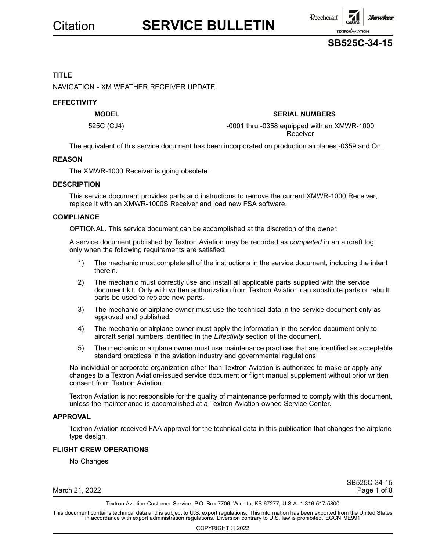

### **TITLE**

NAVIGATION - XM WEATHER RECEIVER UPDATE

### **EFFECTIVITY**

### **MODEL SERIAL NUMBERS**

525C (CJ4) -0001 thru -0358 equipped with an XMWR-1000 Receiver

The equivalent of this service document has been incorporated on production airplanes -0359 and On.

### **REASON**

The XMWR-1000 Receiver is going obsolete.

### **DESCRIPTION**

This service document provides parts and instructions to remove the current XMWR-1000 Receiver, replace it with an XMWR-1000S Receiver and load new FSA software.

### **COMPLIANCE**

OPTIONAL. This service document can be accomplished at the discretion of the owner.

A service document published by Textron Aviation may be recorded as *completed* in an aircraft log only when the following requirements are satisfied:

- 1) The mechanic must complete all of the instructions in the service document, including the intent therein.
- 2) The mechanic must correctly use and install all applicable parts supplied with the service document kit. Only with written authorization from Textron Aviation can substitute parts or rebuilt parts be used to replace new parts.
- 3) The mechanic or airplane owner must use the technical data in the service document only as approved and published.
- 4) The mechanic or airplane owner must apply the information in the service document only to aircraft serial numbers identified in the *Effectivity* section of the document.
- 5) The mechanic or airplane owner must use maintenance practices that are identified as acceptable standard practices in the aviation industry and governmental regulations.

No individual or corporate organization other than Textron Aviation is authorized to make or apply any changes to <sup>a</sup> Textron Aviation-issued service document or flight manual supplement without prior written consent from Textron Aviation.

Textron Aviation is not responsible for the quality of maintenance performed to comply with this document, unless the maintenance is accomplished at <sup>a</sup> Textron Aviation-owned Service Center.

### **APPROVAL**

Textron Aviation received FAA approval for the technical data in this publication that changes the airplane type design.

### **FLIGHT CREW OPERATIONS**

No Changes

March 21, 2022 **Page 1 of 8** 

SB525C-34-15

Textron Aviation Customer Service, P.O. Box 7706, Wichita, KS 67277, U.S.A. 1-316-517-5800

This document contains technical data and is subject to U.S. export regulations. This information has been exported from the United States<br>in accordance with export administration regulations. Diversion contrary to U.S. la

COPYRIGHT © 2022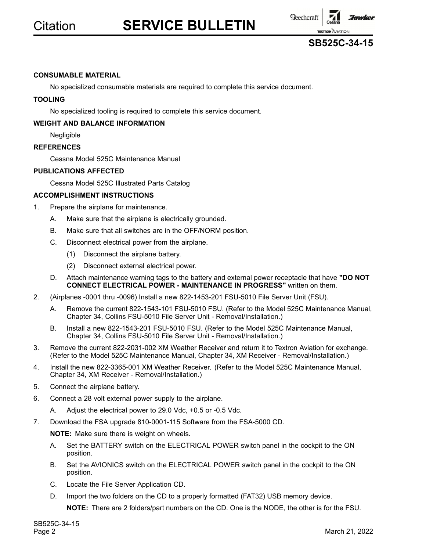



### **CONSUMABLE MATERIAL**

No specialized consumable materials are required to complete this service document.

### **TOOLING**

No specialized tooling is required to complete this service document.

### **WEIGHT AND BALANCE INFORMATION**

Negligible

### **REFERENCES**

Cessna Model 525C Maintenance Manual

### **PUBLICATIONS AFFECTED**

Cessna Model 525C Illustrated Parts Catalog

### **ACCOMPLISHMENT INSTRUCTIONS**

- 1. Prepare the airplane for maintenance.
	- A. Make sure that the airplane is electrically grounded.
	- B. Make sure that all switches are in the OFF/NORM position.
	- C. Disconnect electrical power from the airplane.
		- (1) Disconnect the airplane battery.
		- (2) Disconnect external electrical power.
	- D. Attach maintenance warning tags to the battery and external power receptacle that have **"DO NOT CONNECT ELECTRICAL POWER - MAINTENANCE IN PROGRESS"** written on them.
- 2. (Airplanes -0001 thru -0096) Install <sup>a</sup> new 822-1453-201 FSU-5010 File Server Unit (FSU).
	- A. Remove the current 822-1543-101 FSU-5010 FSU. (Refer to the Model 525C Maintenance Manual, Chapter 34, Collins FSU-5010 File Server Unit - Removal/Installation.)
	- B. Install <sup>a</sup> new 822-1543-201 FSU-5010 FSU. (Refer to the Model 525C Maintenance Manual, Chapter 34, Collins FSU-5010 File Server Unit - Removal/Installation.)
- 3. Remove the current 822-2031-002 XM Weather Receiver and return it to Textron Aviation for exchange. (Refer to the Model 525C Maintenance Manual, Chapter 34, XM Receiver - Removal/Installation.)
- 4. Install the new 822-3365-001 XM Weather Receiver. (Refer to the Model 525C Maintenance Manual, Chapter 34, XM Receiver - Removal/Installation.)
- 5. Connect the airplane battery.
- 6. Connect <sup>a</sup> 28 volt external power supply to the airplane.
	- A. Adjust the electrical power to 29.0 Vdc, +0.5 or -0.5 Vdc.
- 7. Download the FSA upgrade 810-0001-115 Software from the FSA-5000 CD.

**NOTE:** Make sure there is weight on wheels.

- A. Set the BATTERY switch on the ELECTRICAL POWER switch panel in the cockpit to the ON position.
- B. Set the AVIONICS switch on the ELECTRICAL POWER switch panel in the cockpit to the ON position.
- C. Locate the File Server Application CD.
- D. Import the two folders on the CD to <sup>a</sup> properly formatted (FAT32) USB memory device.

**NOTE:** There are 2 folders/part numbers on the CD. One is the NODE, the other is for the FSU.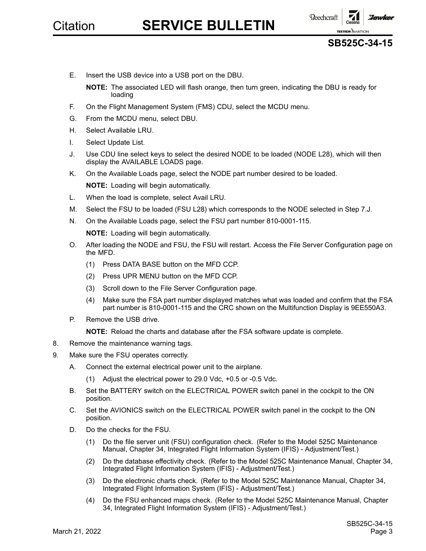



E. Insert the USB device into <sup>a</sup> USB port on the DBU.

**NOTE:** The associated LED will flash orange, then turn green, indicating the DBU is ready for loading

- F. On the Flight Management System (FMS) CDU, select the MCDU menu.
- G. From the MCDU menu, select DBU.
- H. Select Available LRU.
- I. Select Update List.
- J. Use CDU line select keys to select the desired NODE to be loaded (NODE L28), which will then display the AVAILABLE LOADS page.
- K. On the Available Loads page, select the NODE part number desired to be loaded. **NOTE:** Loading will begin automatically.
- L. When the load is complete, select Avail LRU.
- M. Select the FSU to be loaded (FSU L28) which corresponds to the NODE selected in Step 7.J.
- N. On the Available Loads page, select the FSU part number 810-0001-115.
	- **NOTE:** Loading will begin automatically.
- O. After loading the NODE and FSU, the FSU will restart. Access the File Server Configuration page on the MFD.
	- (1) Press DATA BASE button on the MFD CCP.
	- (2) Press UPR MENU button on the MFD CCP.
	- (3) Scroll down to the File Server Configuration page.
	- (4) Make sure the FSA part number displayed matches what was loaded and confirm that the FSA part number is 810-0001-115 and the CRC shown on the Multifunction Display is 9EE550A3.
- P. Remove the USB drive.
	- **NOTE:** Reload the charts and database after the FSA software update is complete.
- 8. Remove the maintenance warning tags.
- 9. Make sure the FSU operates correctly.
	- A. Connect the external electrical power unit to the airplane.
		- (1) Adjust the electrical power to 29.0 Vdc, +0.5 or -0.5 Vdc.
	- B. Set the BATTERY switch on the ELECTRICAL POWER switch panel in the cockpit to the ON position.
	- C. Set the AVIONICS switch on the ELECTRICAL POWER switch panel in the cockpit to the ON position.
	- D. Do the checks for the FSU.
		- (1) Do the file server unit (FSU) configuration check. (Refer to the Model 525C Maintenance Manual, Chapter 34, Integrated Flight Information System (IFIS) - Adjustment/Test.)
		- (2) Do the database effectivity check. (Refer to the Model 525C Maintenance Manual, Chapter 34, Integrated Flight Information System (IFIS) - Adjustment/Test.)
		- (3) Do the electronic charts check. (Refer to the Model 525C Maintenance Manual, Chapter 34, Integrated Flight Information System (IFIS) - Adjustment/Test.)
		- (4) Do the FSU enhanced maps check. (Refer to the Model 525C Maintenance Manual, Chapter 34, Integrated Flight Information System (IFIS) - Adjustment/Test.)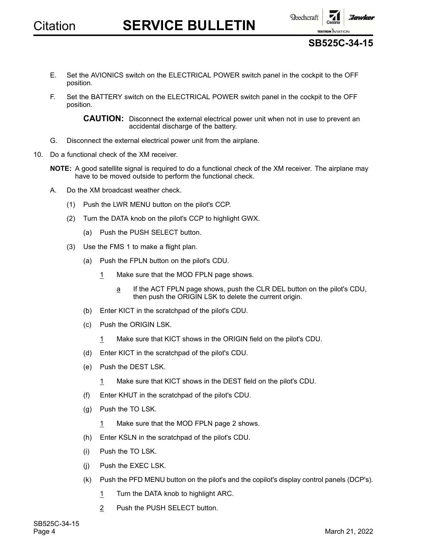

**SB525C-34-15**

- E. Set the AVIONICS switch on the ELECTRICAL POWER switch panel in the cockpit to the OFF position.
- F. Set the BATTERY switch on the ELECTRICAL POWER switch panel in the cockpit to the OFF position.

**CAUTION:** Disconnect the external electrical power unit when not in use to prevent an accidental discharge of the battery.

- G. Disconnect the external electrical power unit from the airplane.
- 10. Do a functional check of the XM receiver.

**NOTE:** A good satellite signal is required to do <sup>a</sup> functional check of the XM receiver. The airplane may have to be moved outside to perform the functional check.

- A. Do the XM broadcast weather check.
	- (1) Push the LWR MENU button on the pilot's CCP.
	- (2) Turn the DATA knob on the pilot's CCP to highlight GWX.
		- (a) Push the PUSH SELECT button.
	- (3) Use the FMS 1 to make <sup>a</sup> flight plan.
		- (a) Push the FPLN button on the pilot's CDU.
			- 1 Make sure that the MOD FPLN page shows.
				- <sup>a</sup> If the ACT FPLN page shows, push the CLR DEL button on the pilot's CDU, then push the ORIGIN LSK to delete the current origin.
		- (b) Enter KICT in the scratchpad of the pilot's CDU.
		- (c) Push the ORIGIN LSK.
			- 1 Make sure that KICT shows in the ORIGIN field on the pilot's CDU.
		- (d) Enter KICT in the scratchpad of the pilot's CDU.
		- (e) Push the DEST LSK.
			- 1 Make sure that KICT shows in the DEST field on the pilot's CDU.
		- (f) Enter KHUT in the scratchpad of the pilot's CDU.
		- (g) Push the TO LSK.
			- 1 Make sure that the MOD FPLN page 2 shows.
		- (h) Enter KSLN in the scratchpad of the pilot's CDU.
		- (i) Push the TO LSK.
		- (j) Push the EXEC LSK.
		- (k) Push the PFD MENU button on the pilot's and the copilot's display control panels (DCP's).
			- 1 Turn the DATA knob to highlight ARC.
			- 2 Push the PUSH SELECT button.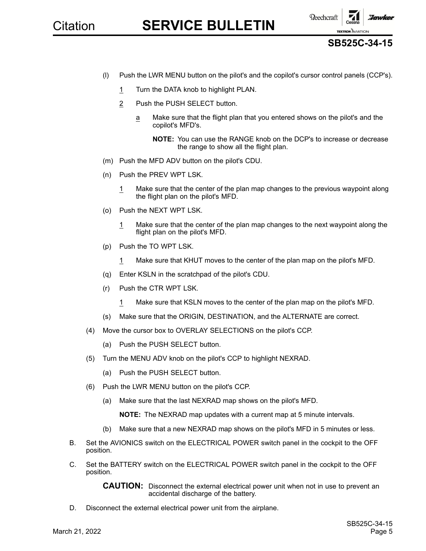

### **SB525C-34-15**

- (l) Push the LWR MENU button on the pilot's and the copilot's cursor control panels (CCP's).
	- 1 Turn the DATA knob to highlight PLAN.
	- 2 Push the PUSH SELECT button.
		- <sup>a</sup> Make sure that the flight plan that you entered shows on the pilot's and the copilot's MFD's.

**NOTE:** You can use the RANGE knob on the DCP's to increase or decrease the range to show all the flight plan.

- (m) Push the MFD ADV button on the pilot's CDU.
- (n) Push the PREV WPT LSK.
	- 1 Make sure that the center of the plan map changes to the previous waypoint along the flight plan on the pilot's MFD.
- (o) Push the NEXT WPT LSK.
	- 1 Make sure that the center of the plan map changes to the next waypoint along the flight plan on the pilot's MFD.
- (p) Push the TO WPT LSK.
	- 1 Make sure that KHUT moves to the center of the plan map on the pilot's MFD.
- (q) Enter KSLN in the scratchpad of the pilot's CDU.
- (r) Push the CTR WPT LSK.
	- 1 Make sure that KSLN moves to the center of the plan map on the pilot's MFD.
- (s) Make sure that the ORIGIN, DESTINATION, and the ALTERNATE are correct.
- (4) Move the cursor box to OVERLAY SELECTIONS on the pilot's CCP.
	- (a) Push the PUSH SELECT button.
- (5) Turn the MENU ADV knob on the pilot's CCP to highlight NEXRAD.
	- (a) Push the PUSH SELECT button.
- (6) Push the LWR MENU button on the pilot's CCP.
	- (a) Make sure that the last NEXRAD map shows on the pilot's MFD.

**NOTE:** The NEXRAD map updates with <sup>a</sup> current map at 5 minute intervals.

- (b) Make sure that <sup>a</sup> new NEXRAD map shows on the pilot's MFD in 5 minutes or less.
- B. Set the AVIONICS switch on the ELECTRICAL POWER switch panel in the cockpit to the OFF position.
- C. Set the BATTERY switch on the ELECTRICAL POWER switch panel in the cockpit to the OFF position.

**CAUTION:** Disconnect the external electrical power unit when not in use to prevent an accidental discharge of the battery.

D. Disconnect the external electrical power unit from the airplane.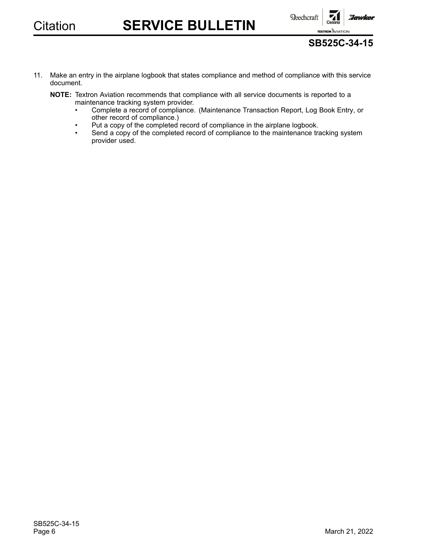



- 11. Make an entry in the airplane logbook that states compliance and method of compliance with this service document.
	- **NOTE:** Textron Aviation recommends that compliance with all service documents is reported to <sup>a</sup> maintenance tracking system provider.
		- • Complete <sup>a</sup> record of compliance. (Maintenance Transaction Report, Log Book Entry, or other record of compliance.)
		- •Put <sup>a</sup> copy of the completed record of compliance in the airplane logbook.
		- • Send <sup>a</sup> copy of the completed record of compliance to the maintenance tracking system provider used.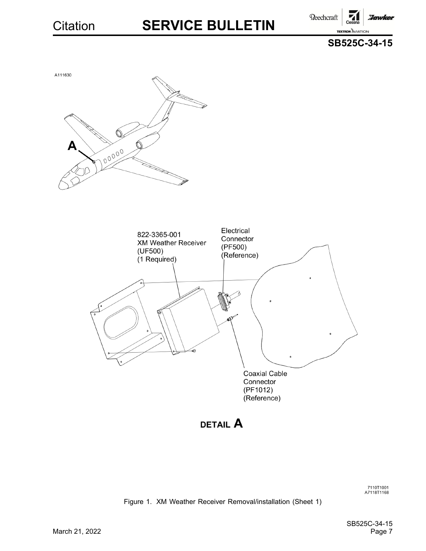Beechcraft **Hawker TEXTRON AVIATION** 





7110T1001<br>A7118T1168

Figure 1. XM Weather Receiver Removal/installation (Sheet 1)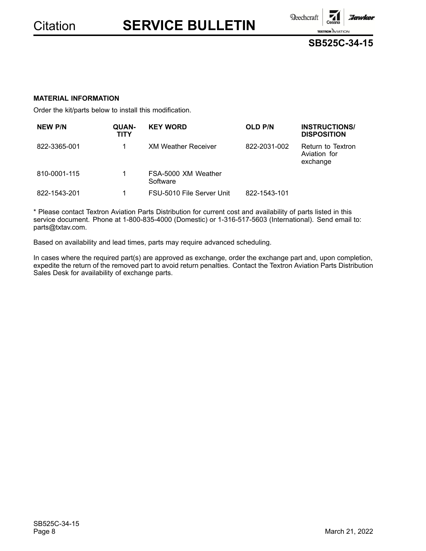$\textbf{Reechcraft}$ 



:Jawker

### **MATERIAL INFORMATION**

Order the kit/parts below to install this modification.

| <b>NEW P/N</b> | QUAN-<br><b>TITY</b> | <b>KEY WORD</b>                 | <b>OLD P/N</b> | <b>INSTRUCTIONS/</b><br><b>DISPOSITION</b>    |
|----------------|----------------------|---------------------------------|----------------|-----------------------------------------------|
| 822-3365-001   | 1                    | <b>XM Weather Receiver</b>      | 822-2031-002   | Return to Textron<br>Aviation for<br>exchange |
| 810-0001-115   | 1                    | FSA-5000 XM Weather<br>Software |                |                                               |
| 822-1543-201   |                      | FSU-5010 File Server Unit       | 822-1543-101   |                                               |

\* Please contact Textron Aviation Parts Distribution for current cost and availability of parts listed in this service document. Phone at 1-800-835-4000 (Domestic) or 1-316-517-5603 (International). Send email to: parts@txtav.com.

Based on availability and lead times, parts may require advanced scheduling.

In cases where the required part(s) are approved as exchange, order the exchange part and, upon completion, expedite the return of the removed part to avoid return penalties. Contact the Textron Aviation Parts Distribution Sales Desk for availability of exchange parts.